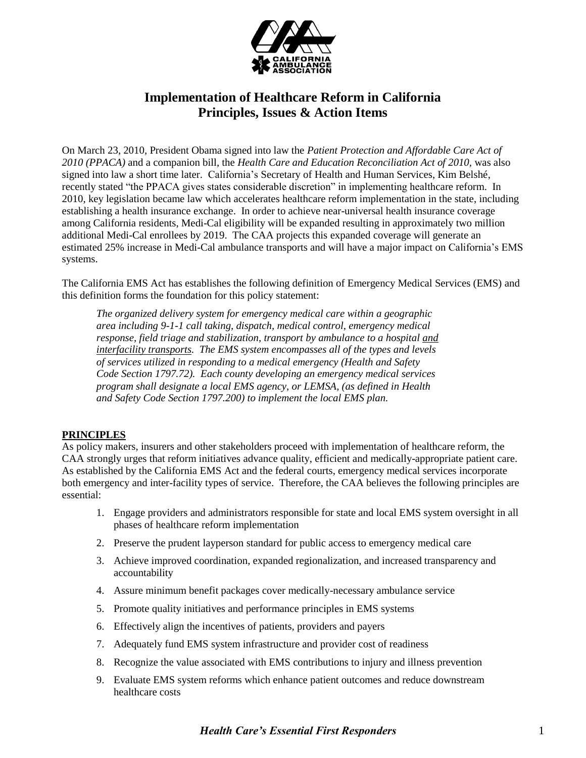

# **Implementation of Healthcare Reform in California Principles, Issues & Action Items**

On March 23, 2010, President Obama signed into law the *Patient Protection and Affordable Care Act of 2010 (PPACA)* and a companion bill, the *Health Care and Education Reconciliation Act of 2010,* was also signed into law a short time later. California's Secretary of Health and Human Services, Kim Belshé, recently stated "the PPACA gives states considerable discretion" in implementing healthcare reform. In 2010, key legislation became law which accelerates healthcare reform implementation in the state, including establishing a health insurance exchange. In order to achieve near-universal health insurance coverage among California residents, Medi-Cal eligibility will be expanded resulting in approximately two million additional Medi-Cal enrollees by 2019. The CAA projects this expanded coverage will generate an estimated 25% increase in Medi-Cal ambulance transports and will have a major impact on California's EMS systems.

The California EMS Act has establishes the following definition of Emergency Medical Services (EMS) and this definition forms the foundation for this policy statement:

*The organized delivery system for emergency medical care within a geographic area including 9-1-1 call taking, dispatch, medical control, emergency medical response, field triage and stabilization, transport by ambulance to a hospital and interfacility transports. The EMS system encompasses all of the types and levels of services utilized in responding to a medical emergency (Health and Safety Code Section 1797.72). Each county developing an emergency medical services program shall designate a local EMS agency, or LEMSA, (as defined in Health and Safety Code Section 1797.200) to implement the local EMS plan.*

# **PRINCIPLES**

As policy makers, insurers and other stakeholders proceed with implementation of healthcare reform, the CAA strongly urges that reform initiatives advance quality, efficient and medically-appropriate patient care. As established by the California EMS Act and the federal courts, emergency medical services incorporate both emergency and inter-facility types of service. Therefore, the CAA believes the following principles are essential:

- 1. Engage providers and administrators responsible for state and local EMS system oversight in all phases of healthcare reform implementation
- 2. Preserve the prudent layperson standard for public access to emergency medical care
- 3. Achieve improved coordination, expanded regionalization, and increased transparency and accountability
- 4. Assure minimum benefit packages cover medically-necessary ambulance service
- 5. Promote quality initiatives and performance principles in EMS systems
- 6. Effectively align the incentives of patients, providers and payers
- 7. Adequately fund EMS system infrastructure and provider cost of readiness
- 8. Recognize the value associated with EMS contributions to injury and illness prevention
- 9. Evaluate EMS system reforms which enhance patient outcomes and reduce downstream healthcare costs

# *Health Care's Essential First Responders* 1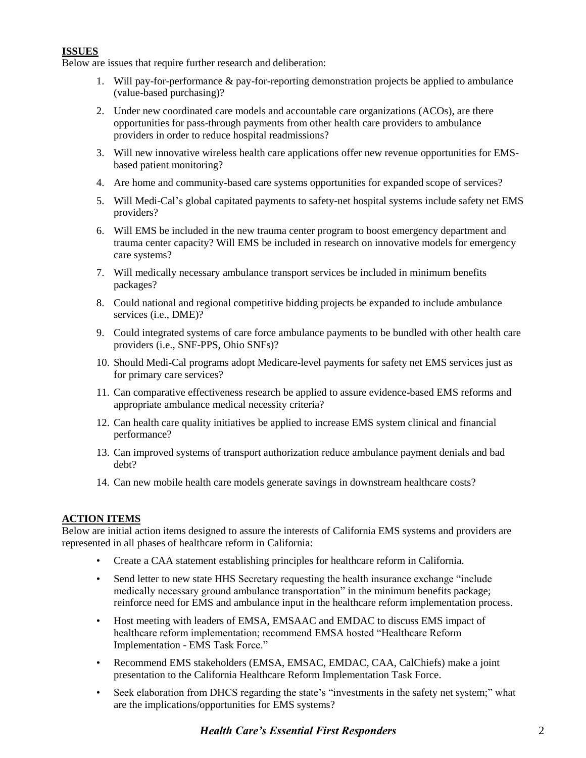# **ISSUES**

Below are issues that require further research and deliberation:

- 1. Will pay-for-performance & pay-for-reporting demonstration projects be applied to ambulance (value-based purchasing)?
- 2. Under new coordinated care models and accountable care organizations (ACOs), are there opportunities for pass-through payments from other health care providers to ambulance providers in order to reduce hospital readmissions?
- 3. Will new innovative wireless health care applications offer new revenue opportunities for EMSbased patient monitoring?
- 4. Are home and community-based care systems opportunities for expanded scope of services?
- 5. Will Medi-Cal's global capitated payments to safety-net hospital systems include safety net EMS providers?
- 6. Will EMS be included in the new trauma center program to boost emergency department and trauma center capacity? Will EMS be included in research on innovative models for emergency care systems?
- 7. Will medically necessary ambulance transport services be included in minimum benefits packages?
- 8. Could national and regional competitive bidding projects be expanded to include ambulance services (i.e., DME)?
- 9. Could integrated systems of care force ambulance payments to be bundled with other health care providers (i.e., SNF-PPS, Ohio SNFs)?
- 10. Should Medi-Cal programs adopt Medicare-level payments for safety net EMS services just as for primary care services?
- 11. Can comparative effectiveness research be applied to assure evidence-based EMS reforms and appropriate ambulance medical necessity criteria?
- 12. Can health care quality initiatives be applied to increase EMS system clinical and financial performance?
- 13. Can improved systems of transport authorization reduce ambulance payment denials and bad debt?
- 14. Can new mobile health care models generate savings in downstream healthcare costs?

# **ACTION ITEMS**

Below are initial action items designed to assure the interests of California EMS systems and providers are represented in all phases of healthcare reform in California:

- Create a CAA statement establishing principles for healthcare reform in California.
- Send letter to new state HHS Secretary requesting the health insurance exchange "include medically necessary ground ambulance transportation" in the minimum benefits package; reinforce need for EMS and ambulance input in the healthcare reform implementation process.
- Host meeting with leaders of EMSA, EMSAAC and EMDAC to discuss EMS impact of healthcare reform implementation; recommend EMSA hosted "Healthcare Reform Implementation - EMS Task Force."
- Recommend EMS stakeholders (EMSA, EMSAC, EMDAC, CAA, CalChiefs) make a joint presentation to the California Healthcare Reform Implementation Task Force.
- Seek elaboration from DHCS regarding the state's "investments in the safety net system;" what are the implications/opportunities for EMS systems?

# *Health Care's Essential First Responders* 2